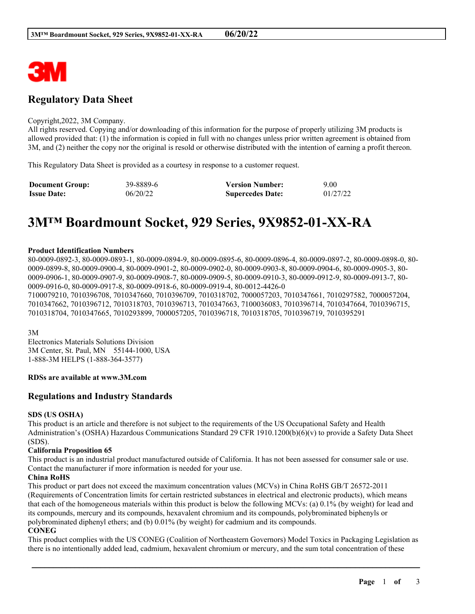

# **Regulatory Data Sheet**

#### Copyright,2022, 3M Company.

All rights reserved. Copying and/or downloading of this information for the purpose of properly utilizing 3M products is allowed provided that: (1) the information is copied in full with no changes unless prior written agreement is obtained from 3M, and (2) neither the copy nor the original is resold or otherwise distributed with the intention of earning a profit thereon.

This Regulatory Data Sheet is provided as a courtesy in response to a customer request.

| <b>Document Group:</b> | 39-8889-6 | <b>Version Number:</b>  | 9.00     |
|------------------------|-----------|-------------------------|----------|
| <b>Issue Date:</b>     | 06/20/22  | <b>Supercedes Date:</b> | 01/27/22 |

# **3M™ Boardmount Socket, 929 Series, 9X9852-01-XX-RA**

### **Product Identification Numbers**

80-0009-0892-3, 80-0009-0893-1, 80-0009-0894-9, 80-0009-0895-6, 80-0009-0896-4, 80-0009-0897-2, 80-0009-0898-0, 80- 0009-0899-8, 80-0009-0900-4, 80-0009-0901-2, 80-0009-0902-0, 80-0009-0903-8, 80-0009-0904-6, 80-0009-0905-3, 80- 0009-0906-1, 80-0009-0907-9, 80-0009-0908-7, 80-0009-0909-5, 80-0009-0910-3, 80-0009-0912-9, 80-0009-0913-7, 80- 0009-0916-0, 80-0009-0917-8, 80-0009-0918-6, 80-0009-0919-4, 80-0012-4426-0

7100079210, 7010396708, 7010347660, 7010396709, 7010318702, 7000057203, 7010347661, 7010297582, 7000057204, 7010347662, 7010396712, 7010318703, 7010396713, 7010347663, 7100036083, 7010396714, 7010347664, 7010396715, 7010318704, 7010347665, 7010293899, 7000057205, 7010396718, 7010318705, 7010396719, 7010395291

3M

Electronics Materials Solutions Division 3M Center, St. Paul, MN 55144-1000, USA 1-888-3M HELPS (1-888-364-3577)

### **RDSs are available at www.3M.com**

# **Regulations and Industry Standards**

### **SDS (US OSHA)**

This product is an article and therefore is not subject to the requirements of the US Occupational Safety and Health Administration's (OSHA) Hazardous Communications Standard 29 CFR 1910.1200(b)(6)(v) to provide a Safety Data Sheet (SDS).

### **California Proposition 65**

This product is an industrial product manufactured outside of California. It has not been assessed for consumer sale or use. Contact the manufacturer if more information is needed for your use.

### **China RoHS**

This product or part does not exceed the maximum concentration values (MCVs) in China RoHS GB/T 26572-2011 (Requirements of Concentration limits for certain restricted substances in electrical and electronic products), which means that each of the homogeneous materials within this product is below the following MCVs: (a) 0.1% (by weight) for lead and its compounds, mercury and its compounds, hexavalent chromium and its compounds, polybrominated biphenyls or polybrominated diphenyl ethers; and (b) 0.01% (by weight) for cadmium and its compounds.

### **CONEG**

This product complies with the US CONEG (Coalition of Northeastern Governors) Model Toxics in Packaging Legislation as there is no intentionally added lead, cadmium, hexavalent chromium or mercury, and the sum total concentration of these

\_\_\_\_\_\_\_\_\_\_\_\_\_\_\_\_\_\_\_\_\_\_\_\_\_\_\_\_\_\_\_\_\_\_\_\_\_\_\_\_\_\_\_\_\_\_\_\_\_\_\_\_\_\_\_\_\_\_\_\_\_\_\_\_\_\_\_\_\_\_\_\_\_\_\_\_\_\_\_\_\_\_\_\_\_\_\_\_\_\_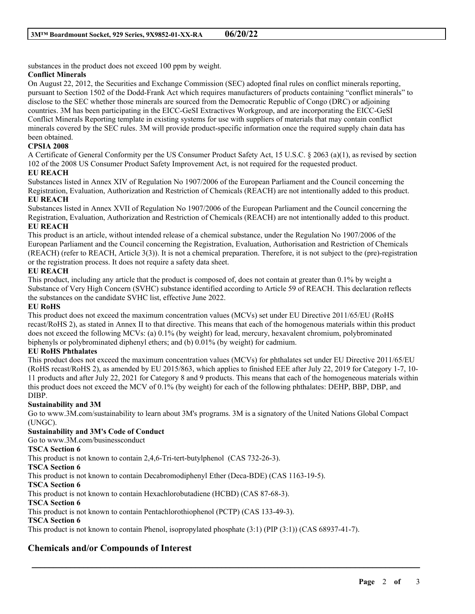substances in the product does not exceed 100 ppm by weight.

# **Conflict Minerals**

On August 22, 2012, the Securities and Exchange Commission (SEC) adopted final rules on conflict minerals reporting, pursuant to Section 1502 of the Dodd-Frank Act which requires manufacturers of products containing "conflict minerals" to disclose to the SEC whether those minerals are sourced from the Democratic Republic of Congo (DRC) or adjoining countries. 3M has been participating in the EICC-GeSI Extractives Workgroup, and are incorporating the EICC-GeSI Conflict Minerals Reporting template in existing systems for use with suppliers of materials that may contain conflict minerals covered by the SEC rules. 3M will provide product-specific information once the required supply chain data has been obtained.

# **CPSIA 2008**

A Certificate of General Conformity per the US Consumer Product Safety Act, 15 U.S.C. § 2063 (a)(1), as revised by section 102 of the 2008 US Consumer Product Safety Improvement Act, is not required for the requested product.

# **EU REACH**

Substances listed in Annex XIV of Regulation No 1907/2006 of the European Parliament and the Council concerning the Registration, Evaluation, Authorization and Restriction of Chemicals (REACH) are not intentionally added to this product. **EU REACH**

Substances listed in Annex XVII of Regulation No 1907/2006 of the European Parliament and the Council concerning the Registration, Evaluation, Authorization and Restriction of Chemicals (REACH) are not intentionally added to this product. **EU REACH**

This product is an article, without intended release of a chemical substance, under the Regulation No 1907/2006 of the European Parliament and the Council concerning the Registration, Evaluation, Authorisation and Restriction of Chemicals (REACH) (refer to REACH, Article 3(3)). It is not a chemical preparation. Therefore, it is not subject to the (pre)-registration or the registration process. It does not require a safety data sheet.

# **EU REACH**

This product, including any article that the product is composed of, does not contain at greater than 0.1% by weight a Substance of Very High Concern (SVHC) substance identified according to Article 59 of REACH. This declaration reflects the substances on the candidate SVHC list, effective June 2022.

# **EU RoHS**

This product does not exceed the maximum concentration values (MCVs) set under EU Directive 2011/65/EU (RoHS recast/RoHS 2), as stated in Annex II to that directive. This means that each of the homogenous materials within this product does not exceed the following MCVs: (a) 0.1% (by weight) for lead, mercury, hexavalent chromium, polybrominated biphenyls or polybrominated diphenyl ethers; and (b) 0.01% (by weight) for cadmium.

# **EU RoHS Phthalates**

This product does not exceed the maximum concentration values (MCVs) for phthalates set under EU Directive 2011/65/EU (RoHS recast/RoHS 2), as amended by EU 2015/863, which applies to finished EEE after July 22, 2019 for Category 1-7, 10- 11 products and after July 22, 2021 for Category 8 and 9 products. This means that each of the homogeneous materials within this product does not exceed the MCV of 0.1% (by weight) for each of the following phthalates: DEHP, BBP, DBP, and DIBP.

# **Sustainability and 3M**

Go to www.3M.com/sustainability to learn about 3M's programs. 3M is a signatory of the United Nations Global Compact (UNGC).

\_\_\_\_\_\_\_\_\_\_\_\_\_\_\_\_\_\_\_\_\_\_\_\_\_\_\_\_\_\_\_\_\_\_\_\_\_\_\_\_\_\_\_\_\_\_\_\_\_\_\_\_\_\_\_\_\_\_\_\_\_\_\_\_\_\_\_\_\_\_\_\_\_\_\_\_\_\_\_\_\_\_\_\_\_\_\_\_\_\_

# **Sustainability and 3M's Code of Conduct**

Go to www.3M.com/businessconduct

# **TSCA Section 6**

This product is not known to contain 2,4,6-Tri-tert-butylphenol (CAS 732-26-3).

# **TSCA Section 6**

This product is not known to contain Decabromodiphenyl Ether (Deca-BDE) (CAS 1163-19-5).

# **TSCA Section 6**

This product is not known to contain Hexachlorobutadiene (HCBD) (CAS 87-68-3).

# **TSCA Section 6**

This product is not known to contain Pentachlorothiophenol (PCTP) (CAS 133-49-3).

# **TSCA Section 6**

This product is not known to contain Phenol, isopropylated phosphate (3:1) (PIP (3:1)) (CAS 68937-41-7).

# **Chemicals and/or Compounds of Interest**